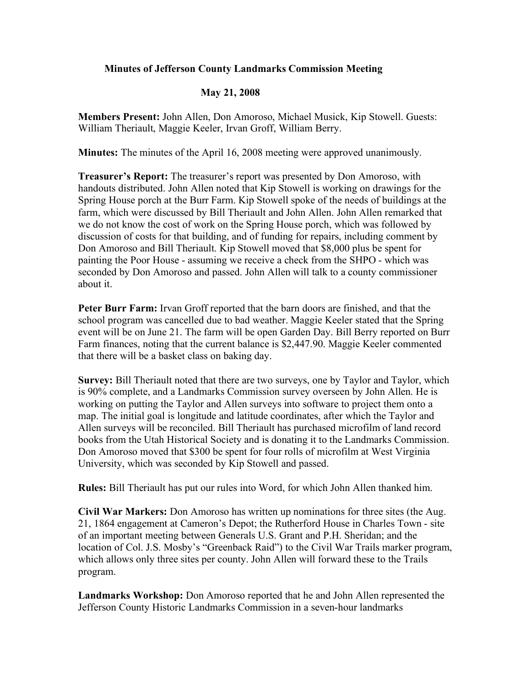## **Minutes of Jefferson County Landmarks Commission Meeting**

## **May 21, 2008**

**Members Present:** John Allen, Don Amoroso, Michael Musick, Kip Stowell. Guests: William Theriault, Maggie Keeler, Irvan Groff, William Berry.

**Minutes:** The minutes of the April 16, 2008 meeting were approved unanimously.

**Treasurer's Report:** The treasurer's report was presented by Don Amoroso, with handouts distributed. John Allen noted that Kip Stowell is working on drawings for the Spring House porch at the Burr Farm. Kip Stowell spoke of the needs of buildings at the farm, which were discussed by Bill Theriault and John Allen. John Allen remarked that we do not know the cost of work on the Spring House porch, which was followed by discussion of costs for that building, and of funding for repairs, including comment by Don Amoroso and Bill Theriault. Kip Stowell moved that \$8,000 plus be spent for painting the Poor House - assuming we receive a check from the SHPO - which was seconded by Don Amoroso and passed. John Allen will talk to a county commissioner about it.

**Peter Burr Farm:** Irvan Groff reported that the barn doors are finished, and that the school program was cancelled due to bad weather. Maggie Keeler stated that the Spring event will be on June 21. The farm will be open Garden Day. Bill Berry reported on Burr Farm finances, noting that the current balance is \$2,447.90. Maggie Keeler commented that there will be a basket class on baking day.

**Survey:** Bill Theriault noted that there are two surveys, one by Taylor and Taylor, which is 90% complete, and a Landmarks Commission survey overseen by John Allen. He is working on putting the Taylor and Allen surveys into software to project them onto a map. The initial goal is longitude and latitude coordinates, after which the Taylor and Allen surveys will be reconciled. Bill Theriault has purchased microfilm of land record books from the Utah Historical Society and is donating it to the Landmarks Commission. Don Amoroso moved that \$300 be spent for four rolls of microfilm at West Virginia University, which was seconded by Kip Stowell and passed.

**Rules:** Bill Theriault has put our rules into Word, for which John Allen thanked him.

**Civil War Markers:** Don Amoroso has written up nominations for three sites (the Aug. 21, 1864 engagement at Cameron's Depot; the Rutherford House in Charles Town - site of an important meeting between Generals U.S. Grant and P.H. Sheridan; and the location of Col. J.S. Mosby's "Greenback Raid") to the Civil War Trails marker program, which allows only three sites per county. John Allen will forward these to the Trails program.

**Landmarks Workshop:** Don Amoroso reported that he and John Allen represented the Jefferson County Historic Landmarks Commission in a seven-hour landmarks